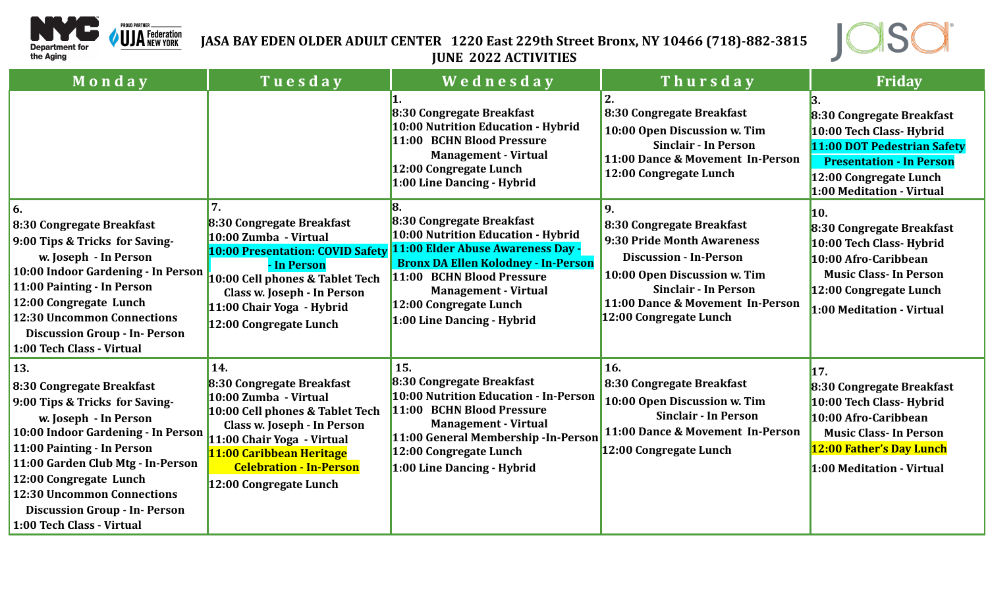

## **JASA BAY EDEN OLDER ADULT CENTER 1220 East 229th Street Bronx, NY 10466 (718)-882-3815 JUNE 2022 ACTIVITIES**



| Monday                                                                                                                                                                                                                                                                                                                                   | Tuesday                                                                                                                                                                                                                                           | Wednesday                                                                                                                                                                                                                                                              | Thursday                                                                                                                                                                                                             | Friday                                                                                                                                                                         |
|------------------------------------------------------------------------------------------------------------------------------------------------------------------------------------------------------------------------------------------------------------------------------------------------------------------------------------------|---------------------------------------------------------------------------------------------------------------------------------------------------------------------------------------------------------------------------------------------------|------------------------------------------------------------------------------------------------------------------------------------------------------------------------------------------------------------------------------------------------------------------------|----------------------------------------------------------------------------------------------------------------------------------------------------------------------------------------------------------------------|--------------------------------------------------------------------------------------------------------------------------------------------------------------------------------|
|                                                                                                                                                                                                                                                                                                                                          |                                                                                                                                                                                                                                                   | 8:30 Congregate Breakfast<br>10:00 Nutrition Education - Hybrid<br>11:00 BCHN Blood Pressure<br><b>Management - Virtual</b><br>12:00 Congregate Lunch<br>1:00 Line Dancing - Hybrid                                                                                    | 8:30 Congregate Breakfast<br>10:00 Open Discussion w. Tim<br><b>Sinclair - In Person</b><br>11:00 Dance & Movement In-Person<br>12:00 Congregate Lunch                                                               | 8:30 Congregate Breakfast<br>10:00 Tech Class- Hybrid<br>11:00 DOT Pedestrian Safety<br><b>Presentation - In Person</b><br>12:00 Congregate Lunch<br>1:00 Meditation - Virtual |
| 6.<br>8:30 Congregate Breakfast<br>9:00 Tips & Tricks for Saving-<br>w. Joseph - In Person<br>10:00 Indoor Gardening - In Person<br>11:00 Painting - In Person<br>12:00 Congregate Lunch<br><b>12:30 Uncommon Connections</b><br><b>Discussion Group - In- Person</b><br>1:00 Tech Class - Virtual                                       | 7.<br>8:30 Congregate Breakfast<br>10:00 Zumba - Virtual<br>10:00 Presentation: COVID Safety<br>- In Person<br>10:00 Cell phones & Tablet Tech<br>Class w. Joseph - In Person<br>11:00 Chair Yoga - Hybrid<br>12:00 Congregate Lunch              | 8:30 Congregate Breakfast<br>10:00 Nutrition Education - Hybrid<br>11:00 Elder Abuse Awareness Day -<br><b>Bronx DA Ellen Kolodney - In-Person</b><br>11:00 BCHN Blood Pressure<br><b>Management - Virtual</b><br>12:00 Congregate Lunch<br>1:00 Line Dancing - Hybrid | 9.<br>8:30 Congregate Breakfast<br>9:30 Pride Month Awareness<br><b>Discussion - In-Person</b><br>10:00 Open Discussion w. Tim<br>Sinclair - In Person<br>11:00 Dance & Movement In-Person<br>12:00 Congregate Lunch | 10.<br>8:30 Congregate Breakfast<br>10:00 Tech Class- Hybrid<br>10:00 Afro-Caribbean<br><b>Music Class-In Person</b><br>12:00 Congregate Lunch<br>1:00 Meditation - Virtual    |
| 13.<br>8:30 Congregate Breakfast<br>9:00 Tips & Tricks for Saving-<br>w. Joseph - In Person<br>10:00 Indoor Gardening - In Person<br>11:00 Painting - In Person<br>11:00 Garden Club Mtg - In-Person<br>12:00 Congregate Lunch<br><b>12:30 Uncommon Connections</b><br><b>Discussion Group - In- Person</b><br>1:00 Tech Class - Virtual | 14.<br>8:30 Congregate Breakfast<br>10:00 Zumba - Virtual<br>10:00 Cell phones & Tablet Tech<br>Class w. Joseph - In Person<br>11:00 Chair Yoga - Virtual<br>11:00 Caribbean Heritage<br><b>Celebration - In-Person</b><br>12:00 Congregate Lunch | 15.<br>8:30 Congregate Breakfast<br>10:00 Nutrition Education - In-Person<br>11:00 BCHN Blood Pressure<br><b>Management - Virtual</b><br>11:00 General Membership - In-Person<br>12:00 Congregate Lunch<br>1:00 Line Dancing - Hybrid                                  | 16.<br>8:30 Congregate Breakfast<br>10:00 Open Discussion w. Tim<br><b>Sinclair - In Person</b><br>11:00 Dance & Movement In-Person<br>12:00 Congregate Lunch                                                        | 17.<br>8:30 Congregate Breakfast<br>10:00 Tech Class- Hybrid<br>10:00 Afro-Caribbean<br><b>Music Class-In Person</b><br>12:00 Father's Day Lunch<br>1:00 Meditation - Virtual  |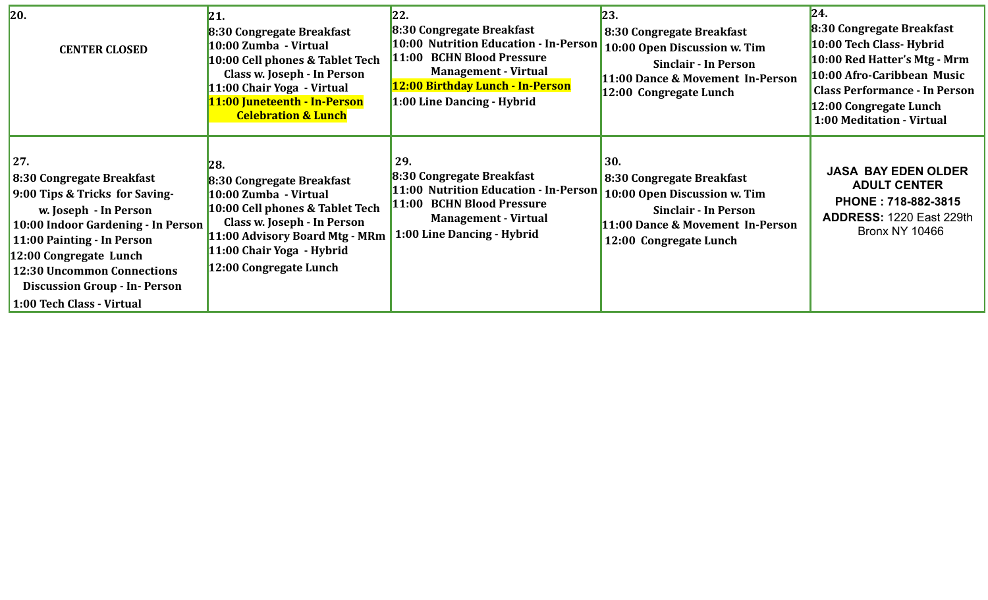| 20.<br><b>CENTER CLOSED</b>                                                                                                                                                                                                                                                                  | 21.<br>8:30 Congregate Breakfast<br>10:00 Zumba - Virtual<br>10:00 Cell phones & Tablet Tech<br>Class w. Joseph - In Person<br>11:00 Chair Yoga - Virtual<br>11:00 Juneteenth - In-Person<br><b>Celebration &amp; Lunch</b> | 22.<br>8:30 Congregate Breakfast<br>10:00 Nutrition Education - In-Person<br>11:00 BCHN Blood Pressure<br><b>Management - Virtual</b><br>12:00 Birthday Lunch - In-Person<br>1:00 Line Dancing - Hybrid | 23.<br>8:30 Congregate Breakfast<br>10:00 Open Discussion w. Tim<br><b>Sinclair - In Person</b><br>11:00 Dance & Movement In-Person<br>12:00 Congregate Lunch | 24.<br>8:30 Congregate Breakfast<br>10:00 Tech Class- Hybrid<br>10:00 Red Hatter's Mtg - Mrm<br>10:00 Afro-Caribbean Music<br><b>Class Performance - In Person</b><br>12:00 Congregate Lunch<br>1:00 Meditation - Virtual |
|----------------------------------------------------------------------------------------------------------------------------------------------------------------------------------------------------------------------------------------------------------------------------------------------|-----------------------------------------------------------------------------------------------------------------------------------------------------------------------------------------------------------------------------|---------------------------------------------------------------------------------------------------------------------------------------------------------------------------------------------------------|---------------------------------------------------------------------------------------------------------------------------------------------------------------|---------------------------------------------------------------------------------------------------------------------------------------------------------------------------------------------------------------------------|
| 27.<br>8:30 Congregate Breakfast<br>9:00 Tips & Tricks for Saving-<br>w. Joseph - In Person<br>10:00 Indoor Gardening - In Person<br>11:00 Painting - In Person<br>12:00 Congregate Lunch<br>12:30 Uncommon Connections<br><b>Discussion Group - In- Person</b><br>1:00 Tech Class - Virtual | 28.<br>8:30 Congregate Breakfast<br>10:00 Zumba - Virtual<br>10:00 Cell phones & Tablet Tech<br>Class w. Joseph - In Person<br>11:00 Advisory Board Mtg - MRm<br>11:00 Chair Yoga - Hybrid<br>12:00 Congregate Lunch        | 29.<br>8:30 Congregate Breakfast<br>11:00 Nutrition Education - In-Person<br>11:00 BCHN Blood Pressure<br><b>Management - Virtual</b><br>1:00 Line Dancing - Hybrid                                     | 30.<br>8:30 Congregate Breakfast<br>10:00 Open Discussion w. Tim<br><b>Sinclair - In Person</b><br>11:00 Dance & Movement In-Person<br>12:00 Congregate Lunch | <b>JASA BAY EDEN OLDER</b><br><b>ADULT CENTER</b><br>PHONE: 718-882-3815<br><b>ADDRESS: 1220 East 229th</b><br><b>Bronx NY 10466</b>                                                                                      |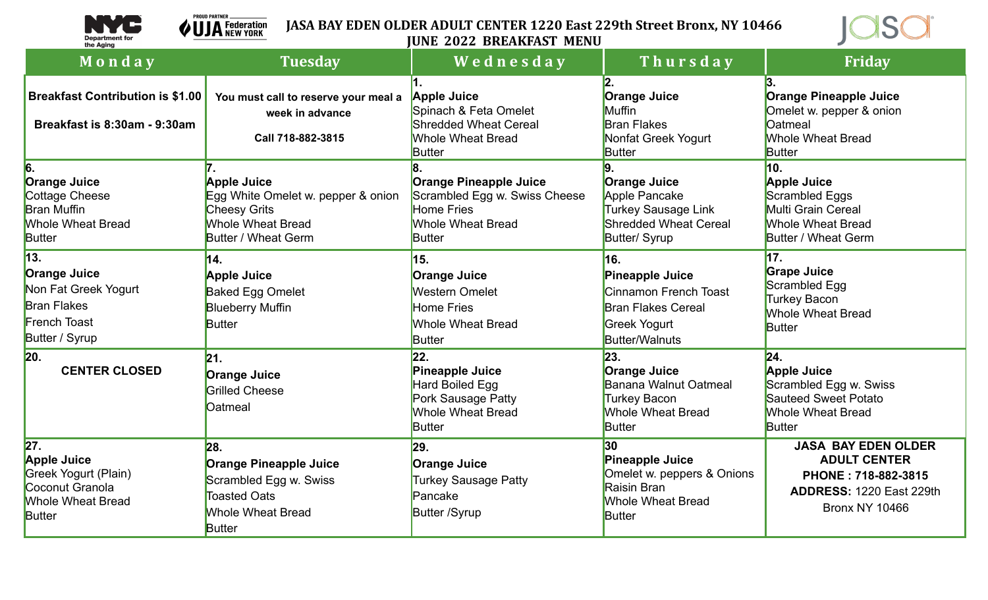

**PROUD PARTNER \_** 

## **JASA BAY EDEN OLDER ADULT CENTER 1220 East 229th Street Bronx, NY 10466 VUJA** Federation **JUNE 2022 BREAKFAST MENU**



| Monday                                                                                                            | <b>Tuesday</b>                                                                                                                            | Wednesday                                                                                                                        | Thursday                                                                                                                       | <b>Friday</b>                                                                                                                        |
|-------------------------------------------------------------------------------------------------------------------|-------------------------------------------------------------------------------------------------------------------------------------------|----------------------------------------------------------------------------------------------------------------------------------|--------------------------------------------------------------------------------------------------------------------------------|--------------------------------------------------------------------------------------------------------------------------------------|
| <b>Breakfast Contribution is \$1.00</b><br>Breakfast is 8:30am - 9:30am                                           | You must call to reserve your meal a<br>week in advance<br>Call 718-882-3815                                                              | <b>Apple Juice</b><br>Spinach & Feta Omelet<br><b>Shredded Wheat Cereal</b><br><b>Whole Wheat Bread</b><br>Butter                | <b>Orange Juice</b><br>Muffin<br><b>Bran Flakes</b><br>Nonfat Greek Yogurt<br><b>Butter</b>                                    | Orange Pineapple Juice<br>Omelet w. pepper & onion<br>Oatmeal<br><b>Whole Wheat Bread</b><br>Butter                                  |
| 16.<br><b>Orange Juice</b><br>Cottage Cheese<br><b>Bran Muffin</b><br><b>Whole Wheat Bread</b><br><b>Butter</b>   | <b>Apple Juice</b><br>Egg White Omelet w. pepper & onion<br><b>Cheesy Grits</b><br><b>Whole Wheat Bread</b><br><b>Butter / Wheat Germ</b> | <b>Orange Pineapple Juice</b><br>Scrambled Egg w. Swiss Cheese<br><b>Home Fries</b><br><b>Whole Wheat Bread</b><br><b>Butter</b> | <b>Orange Juice</b><br>Apple Pancake<br><b>Turkey Sausage Link</b><br><b>Shredded Wheat Cereal</b><br>Butter/ Syrup            | 10.<br><b>Apple Juice</b><br>Scrambled Eggs<br>Multi Grain Cereal<br><b>Whole Wheat Bread</b><br><b>Butter / Wheat Germ</b>          |
| 13.<br><b>Orange Juice</b><br>Non Fat Greek Yogurt<br><b>Bran Flakes</b><br><b>French Toast</b><br>Butter / Syrup | 14.<br><b>Apple Juice</b><br><b>Baked Egg Omelet</b><br><b>Blueberry Muffin</b><br><b>Butter</b>                                          | 15.<br><b>Orange Juice</b><br><b>Western Omelet</b><br><b>Home Fries</b><br><b>Whole Wheat Bread</b><br>Butter                   | 16.<br><b>Pineapple Juice</b><br>Cinnamon French Toast<br><b>Bran Flakes Cereal</b><br>Greek Yogurt<br><b>Butter/Walnuts</b>   | 17.<br><b>Grape Juice</b><br>Scrambled Egg<br><b>Turkey Bacon</b><br><b>Whole Wheat Bread</b><br>Butter                              |
| 20.<br><b>CENTER CLOSED</b>                                                                                       | 21.<br><b>Orange Juice</b><br><b>Grilled Cheese</b><br>Oatmeal                                                                            | 22.<br><b>Pineapple Juice</b><br>Hard Boiled Egg<br>Pork Sausage Patty<br><b>Whole Wheat Bread</b><br><b>Butter</b>              | 23.<br><b>Orange Juice</b><br><b>Banana Walnut Oatmeal</b><br><b>Turkey Bacon</b><br><b>Whole Wheat Bread</b><br><b>Butter</b> | 24.<br><b>Apple Juice</b><br>Scrambled Egg w. Swiss<br><b>Sauteed Sweet Potato</b><br><b>Whole Wheat Bread</b><br><b>Butter</b>      |
| 27.<br><b>Apple Juice</b><br>Greek Yogurt (Plain)<br>Coconut Granola<br><b>Whole Wheat Bread</b><br>Butter        | 28.<br><b>Orange Pineapple Juice</b><br>Scrambled Egg w. Swiss<br><b>Toasted Oats</b><br><b>Whole Wheat Bread</b><br><b>Butter</b>        | 29.<br><b>Orange Juice</b><br>Turkey Sausage Patty<br>Pancake<br><b>Butter /Syrup</b>                                            | 30<br><b>Pineapple Juice</b><br>Omelet w. peppers & Onions<br>Raisin Bran<br><b>Whole Wheat Bread</b><br><b>Butter</b>         | <b>JASA BAY EDEN OLDER</b><br><b>ADULT CENTER</b><br>PHONE: 718-882-3815<br><b>ADDRESS: 1220 East 229th</b><br><b>Bronx NY 10466</b> |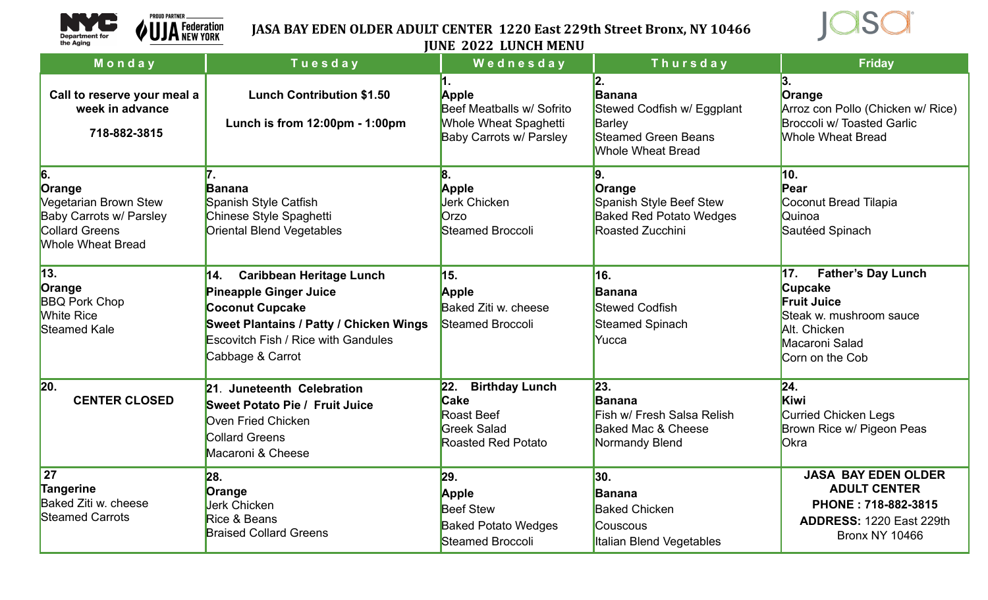

## **JASA BAY EDEN OLDER ADULT CENTER 1220 East 229th Street Bronx, NY 10466 JUNE 2022 LUNCH MENU**



|                                                                                                                              |                                                                                                                                                                                                                       | JUNE <i>L</i> UZZ LUNGH MENU                                                                                 |                                                                                                                |                                                                                                                                                          |
|------------------------------------------------------------------------------------------------------------------------------|-----------------------------------------------------------------------------------------------------------------------------------------------------------------------------------------------------------------------|--------------------------------------------------------------------------------------------------------------|----------------------------------------------------------------------------------------------------------------|----------------------------------------------------------------------------------------------------------------------------------------------------------|
| Monday                                                                                                                       | Tuesday                                                                                                                                                                                                               | Wednesday                                                                                                    | Thursday                                                                                                       | <b>Friday</b>                                                                                                                                            |
| Call to reserve your meal a<br>week in advance<br>718-882-3815                                                               | <b>Lunch Contribution \$1.50</b><br>Lunch is from 12:00pm - 1:00pm                                                                                                                                                    | Apple<br>Beef Meatballs w/ Sofrito<br><b>Whole Wheat Spaghetti</b><br><b>Baby Carrots w/ Parsley</b>         | 2.<br>Banana<br>Stewed Codfish w/ Eggplant<br>Barley<br><b>Steamed Green Beans</b><br><b>Whole Wheat Bread</b> | 3.<br>Orange<br>Arroz con Pollo (Chicken w/ Rice)<br><b>Broccoli w/ Toasted Garlic</b><br><b>Whole Wheat Bread</b>                                       |
| 6.<br>Orange<br><b>Vegetarian Brown Stew</b><br>Baby Carrots w/ Parsley<br><b>Collard Greens</b><br><b>Whole Wheat Bread</b> | <b>Banana</b><br>Spanish Style Catfish<br>Chinese Style Spaghetti<br><b>Oriental Blend Vegetables</b>                                                                                                                 | 8.<br><b>Apple</b><br><b>Jerk Chicken</b><br>Orzo<br>Steamed Broccoli                                        | 9.<br>Orange<br>Spanish Style Beef Stew<br><b>Baked Red Potato Wedges</b><br>Roasted Zucchini                  | 10.<br>Pear<br>Coconut Bread Tilapia<br>Quinoa<br>Sautéed Spinach                                                                                        |
| $\sqrt{13}$ .<br>Orange<br><b>BBQ Pork Chop</b><br><b>White Rice</b><br>Steamed Kale                                         | 14.<br><b>Caribbean Heritage Lunch</b><br><b>Pineapple Ginger Juice</b><br><b>Coconut Cupcake</b><br><b>Sweet Plantains / Patty / Chicken Wings</b><br><b>Escovitch Fish / Rice with Gandules</b><br>Cabbage & Carrot | 15.<br><b>Apple</b><br>Baked Ziti w. cheese<br>Steamed Broccoli                                              | 16.<br><b>Banana</b><br><b>Stewed Codfish</b><br><b>Steamed Spinach</b><br>Yucca                               | 17.<br><b>Father's Day Lunch</b><br><b>Cupcake</b><br><b>Fruit Juice</b><br>Steak w. mushroom sauce<br>Alt. Chicken<br>Macaroni Salad<br>Corn on the Cob |
| 20.<br><b>CENTER CLOSED</b>                                                                                                  | 21. Juneteenth Celebration<br><b>Sweet Potato Pie / Fruit Juice</b><br>Oven Fried Chicken<br><b>Collard Greens</b><br>Macaroni & Cheese                                                                               | <b>Birthday Lunch</b><br>22.<br>Cake<br><b>Roast Beef</b><br><b>Greek Salad</b><br><b>Roasted Red Potato</b> | 23.<br><b>Banana</b><br>Fish w/ Fresh Salsa Relish<br><b>Baked Mac &amp; Cheese</b><br>Normandy Blend          | 24.<br>Kiwi<br><b>Curried Chicken Legs</b><br>Brown Rice w/ Pigeon Peas<br>Okra                                                                          |
| 27<br>Tangerine<br>Baked Ziti w. cheese<br><b>Steamed Carrots</b>                                                            | 28.<br>Orange<br><b>Jerk Chicken</b><br>Rice & Beans<br><b>Braised Collard Greens</b>                                                                                                                                 | 29.<br>Apple<br><b>Beef Stew</b><br><b>Baked Potato Wedges</b><br>Steamed Broccoli                           | 30.<br><b>Banana</b><br><b>Baked Chicken</b><br><b>Couscous</b><br><b>Italian Blend Vegetables</b>             | <b>JASA BAY EDEN OLDER</b><br><b>ADULT CENTER</b><br>PHONE: 718-882-3815<br><b>ADDRESS: 1220 East 229th</b><br><b>Bronx NY 10466</b>                     |